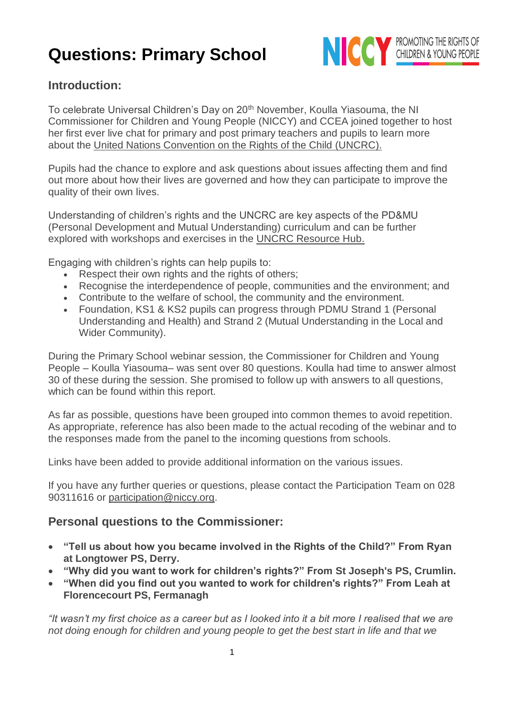

## **Introduction:**

To celebrate Universal Children's Day on 20<sup>th</sup> November, Koulla Yiasouma, the NI Commissioner for Children and Young People (NICCY) and CCEA joined together to host her first ever live chat for primary and post primary teachers and pupils to learn more about the [United Nations Convention on the Rights of the Child \(UNCRC\).](https://www.niccy.org/children-and-young-people/your-rights/know-your-rights/)

Pupils had the chance to explore and ask questions about issues affecting them and find out more about how their lives are governed and how they can participate to improve the quality of their own lives.

Understanding of children's rights and the UNCRC are key aspects of the PD&MU (Personal Development and Mutual Understanding) curriculum and can be further explored with workshops and exercises in the [UNCRC Resource Hub.](http://ccea.org.uk/UNCRCResourceHub)

Engaging with children's rights can help pupils to:

- Respect their own rights and the rights of others;
- Recognise the interdependence of people, communities and the environment; and
- Contribute to the welfare of school, the community and the environment.
- Foundation, KS1 & KS2 pupils can progress through PDMU Strand 1 (Personal Understanding and Health) and Strand 2 (Mutual Understanding in the Local and Wider Community).

During the Primary School webinar session, the Commissioner for Children and Young People – Koulla Yiasouma– was sent over 80 questions. Koulla had time to answer almost 30 of these during the session. She promised to follow up with answers to all questions, which can be found within this report.

As far as possible, questions have been grouped into common themes to avoid repetition. As appropriate, reference has also been made to the actual recoding of the webinar and to the responses made from the panel to the incoming questions from schools.

Links have been added to provide additional information on the various issues.

If you have any further queries or questions, please contact the Participation Team on 028 90311616 or [participation@niccy.org.](mailto:participation@niccy.org)

## **Personal questions to the Commissioner:**

- **"Tell us about how you became involved in the Rights of the Child?" From Ryan at Longtower PS, Derry.**
- **"Why did you want to work for children's rights?" From St Joseph's PS, Crumlin.**
- **"When did you find out you wanted to work for children's rights?" From Leah at Florencecourt PS, Fermanagh**

*"It wasn't my first choice as a career but as I looked into it a bit more I realised that we are not doing enough for children and young people to get the best start in life and that we*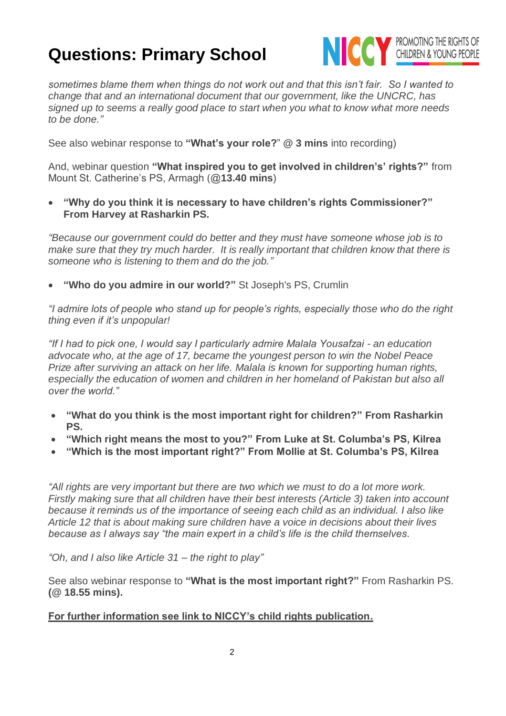

*sometimes blame them when things do not work out and that this isn't fair. So I wanted to change that and an international document that our government, like the UNCRC, has signed up to seems a really good place to start when you what to know what more needs to be done."* 

See also webinar response to **"What's your role?**" **@ 3 mins** into recording)

And, webinar question **"What inspired you to get involved in children's' rights?"** from Mount St. Catherine's PS, Armagh (@**13.40 mins**)

• **"Why do you think it is necessary to have children's rights Commissioner?" From Harvey at Rasharkin PS.**

*"Because our government could do better and they must have someone whose job is to make sure that they try much harder. It is really important that children know that there is someone who is listening to them and do the job."*

• **"Who do you admire in our world?"** St Joseph's PS, Crumlin

*"I admire lots of people who stand up for people's rights, especially those who do the right thing even if it's unpopular!* 

*"If I had to pick one, I would say I particularly admire Malala Yousafzai - an education advocate who, at the age of 17, became the youngest person to win the Nobel Peace Prize after surviving an attack on her life. Malala is known for supporting human rights, especially the education of women and children in her homeland of Pakistan but also all over the world."*

- **"What do you think is the most important right for children?" From Rasharkin PS.**
- **"Which right means the most to you?" From Luke at St. Columba's PS, Kilrea**
- **"Which is the most important right?" From Mollie at St. Columba's PS, Kilrea**

*"All rights are very important but there are two which we must to do a lot more work. Firstly making sure that all children have their best interests (Article 3) taken into account because it reminds us of the importance of seeing each child as an individual. I also like Article 12 that is about making sure children have a voice in decisions about their lives because as I always say "the main expert in a child's life is the child themselves.*

*"Oh, and I also like Article 31 – the right to play"*

See also webinar response to **"What is the most important right?"** From Rasharkin PS. **(@ 18.55 mins).** 

#### **[For further information see link to NICCY's child rights publication.](https://www.niccy.org/children-and-young-people/your-rights/know-your-rights/)**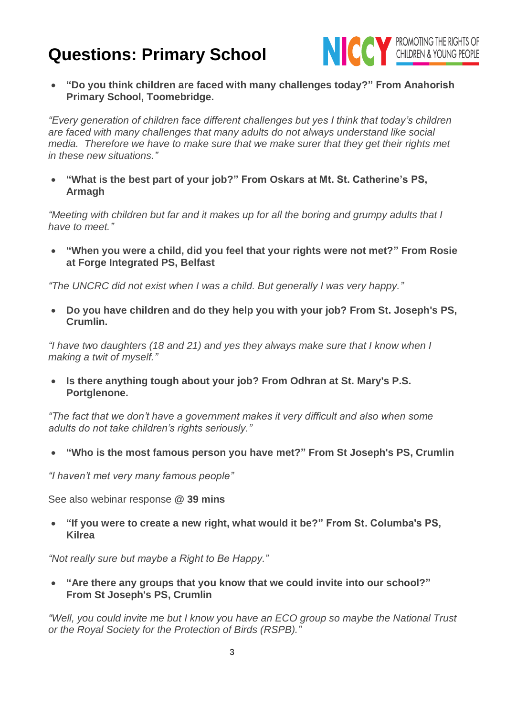

• **"Do you think children are faced with many challenges today?" From Anahorish Primary School, Toomebridge.**

*"Every generation of children face different challenges but yes I think that today's children are faced with many challenges that many adults do not always understand like social*  media. Therefore we have to make sure that we make surer that they get their rights met *in these new situations."*

• **"What is the best part of your job?" From Oskars at Mt. St. Catherine's PS, Armagh**

*"Meeting with children but far and it makes up for all the boring and grumpy adults that I have to meet."*

• **"When you were a child, did you feel that your rights were not met?" From Rosie at Forge Integrated PS, Belfast**

*"The UNCRC did not exist when I was a child. But generally I was very happy."*

• **Do you have children and do they help you with your job? From St. Joseph's PS, Crumlin.**

*"I have two daughters (18 and 21) and yes they always make sure that I know when I making a twit of myself."*

• **Is there anything tough about your job? From Odhran at St. Mary's P.S. Portglenone.**

*"The fact that we don't have a government makes it very difficult and also when some adults do not take children's rights seriously."*

• **"Who is the most famous person you have met?" From St Joseph's PS, Crumlin**

*"I haven't met very many famous people"*

See also webinar response **@ 39 mins**

• **"If you were to create a new right, what would it be?" From St. Columba's PS, Kilrea**

*"Not really sure but maybe a Right to Be Happy."*

• **"Are there any groups that you know that we could invite into our school?" From St Joseph's PS, Crumlin**

*"Well, you could invite me but I know you have an ECO group so maybe the National Trust or the Royal Society for the Protection of Birds (RSPB)."*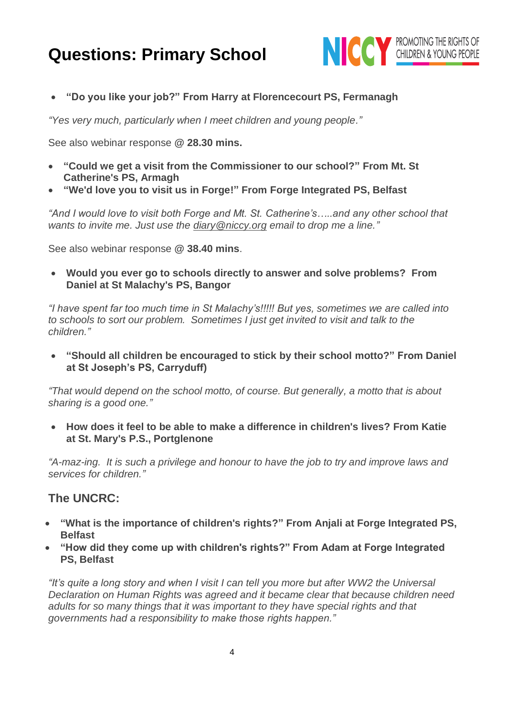

• **"Do you like your job?" From Harry at Florencecourt PS, Fermanagh**

*"Yes very much, particularly when I meet children and young people."*

See also webinar response **@ 28.30 mins.**

- **"Could we get a visit from the Commissioner to our school?" From Mt. St Catherine's PS, Armagh**
- **"We'd love you to visit us in Forge!" From Forge Integrated PS, Belfast**

*"And I would love to visit both Forge and Mt. St. Catherine's…..and any other school that wants to invite me. Just use the [diary@niccy.org](mailto:diary@niccy.org) email to drop me a line."*

See also webinar response **@ 38.40 mins**.

• **Would you ever go to schools directly to answer and solve problems? From Daniel at St Malachy's PS, Bangor**

*"I have spent far too much time in St Malachy's!!!!! But yes, sometimes we are called into to schools to sort our problem. Sometimes I just get invited to visit and talk to the children."* 

• **"Should all children be encouraged to stick by their school motto?" From Daniel at St Joseph's PS, Carryduff)**

*"That would depend on the school motto, of course. But generally, a motto that is about sharing is a good one."* 

• **How does it feel to be able to make a difference in children's lives? From Katie at St. Mary's P.S., Portglenone**

*"A-maz-ing. It is such a privilege and honour to have the job to try and improve laws and services for children."*

## **The UNCRC:**

- **"What is the importance of children's rights?" From Anjali at Forge Integrated PS, Belfast**
- **"How did they come up with children's rights?" From Adam at Forge Integrated PS, Belfast**

*"It's quite a long story and when I visit I can tell you more but after WW2 the Universal Declaration on Human Rights was agreed and it became clear that because children need adults for so many things that it was important to they have special rights and that governments had a responsibility to make those rights happen."*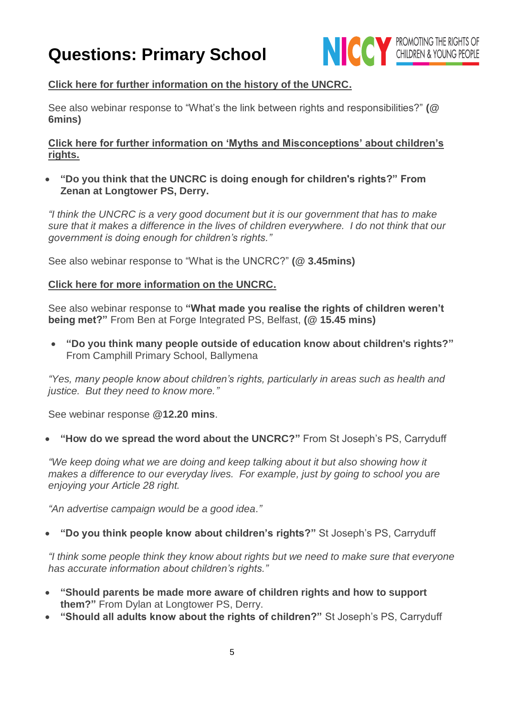

#### **[Click here for further information on the history of the UNCRC.](https://www.childrensrights.ie/resources/information-sheet-history-un-convention-rights-child)**

See also webinar response to "What's the link between rights and responsibilities?" **(@ 6mins)**

#### **[Click here for further information on 'Myths and Misconceptions' about children's](https://www.unicef.org.uk/rights-respecting-schools/resources/teaching-resources/myths-and-misconceptions-booklet-unicef-uk/)  [rights.](https://www.unicef.org.uk/rights-respecting-schools/resources/teaching-resources/myths-and-misconceptions-booklet-unicef-uk/)**

• **"Do you think that the UNCRC is doing enough for children's rights?" From Zenan at Longtower PS, Derry.**

*"I think the UNCRC is a very good document but it is our government that has to make sure that it makes a difference in the lives of children everywhere. I do not think that our government is doing enough for children's rights."*

See also webinar response to "What is the UNCRC?" **(@ 3.45mins)**

#### **[Click here for more information on the UNCRC.](https://www.unicef.org.uk/what-we-do/un-convention-child-rights/)**

See also webinar response to **"What made you realise the rights of children weren't being met?"** From Ben at Forge Integrated PS, Belfast, **(@ 15.45 mins)**

• **"Do you think many people outside of education know about children's rights?"** From Camphill Primary School, Ballymena

*"Yes, many people know about children's rights, particularly in areas such as health and justice. But they need to know more."*

See webinar response **@12.20 mins**.

• **"How do we spread the word about the UNCRC?"** From St Joseph's PS, Carryduff

*"We keep doing what we are doing and keep talking about it but also showing how it makes a difference to our everyday lives. For example, just by going to school you are enjoying your Article 28 right.* 

*"An advertise campaign would be a good idea."*

#### • **"Do you think people know about children's rights?"** St Joseph's PS, Carryduff

*"I think some people think they know about rights but we need to make sure that everyone has accurate information about children's rights."*

- **"Should parents be made more aware of children rights and how to support them?"** From Dylan at Longtower PS, Derry.
- **"Should all adults know about the rights of children?"** St Joseph's PS, Carryduff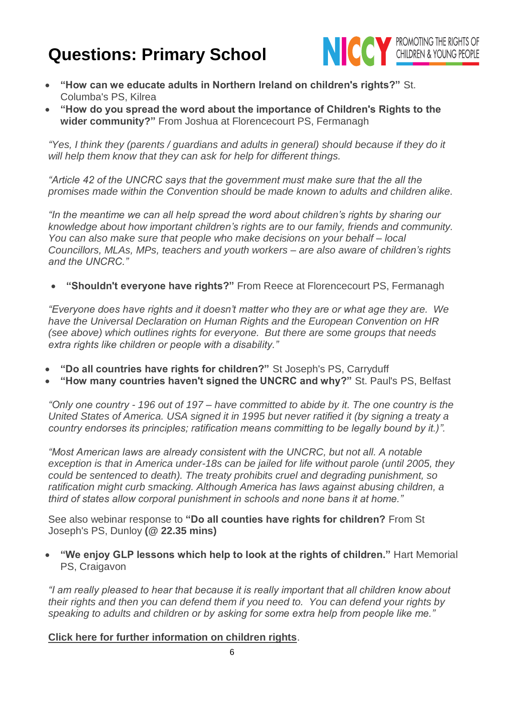

- **"How can we educate adults in Northern Ireland on children's rights?"** St. Columba's PS, Kilrea
- **"How do you spread the word about the importance of Children's Rights to the wider community?"** From Joshua at Florencecourt PS, Fermanagh

*"Yes, I think they (parents / guardians and adults in general) should because if they do it will help them know that they can ask for help for different things.*

*"Article 42 of the UNCRC says that the government must make sure that the all the promises made within the Convention should be made known to adults and children alike.*

*"In the meantime we can all help spread the word about children's rights by sharing our knowledge about how important children's rights are to our family, friends and community. You can also make sure that people who make decisions on your behalf – local Councillors, MLAs, MPs, teachers and youth workers – are also aware of children's rights and the UNCRC."* 

• **"Shouldn't everyone have rights?"** From Reece at Florencecourt PS, Fermanagh

*"Everyone does have rights and it doesn't matter who they are or what age they are. We have the Universal Declaration on Human Rights and the European Convention on HR (see above) which outlines rights for everyone. But there are some groups that needs extra rights like children or people with a disability."* 

- **"Do all countries have rights for children?"** St Joseph's PS, Carryduff
- **"How many countries haven't signed the UNCRC and why?"** St. Paul's PS, Belfast

*"Only one country - 196 out of 197 – have committed to abide by it. The one country is the United States of America. USA signed it in 1995 but never ratified it (by signing a treaty a country endorses its principles; ratification means committing to be legally bound by it.)".*

*"Most American laws are already consistent with the UNCRC, but not all. A notable exception is that in America under-18s can be jailed for life without parole (until 2005, they could be sentenced to death). The treaty prohibits cruel and degrading punishment, so ratification might curb smacking. Although America has laws against abusing children, a third of states allow corporal punishment in schools and none bans it at home."*

See also webinar response to **"Do all counties have rights for children?** From St Joseph's PS, Dunloy **(@ 22.35 mins)**

• **"We enjoy GLP lessons which help to look at the rights of children."** Hart Memorial PS, Craigavon

*"I am really pleased to hear that because it is really important that all children know about their rights and then you can defend them if you need to. You can defend your rights by speaking to adults and children or by asking for some extra help from people like me."* 

#### **[Click here for further information on children rights](https://www.unicef.org/crc/index_30229.html)**.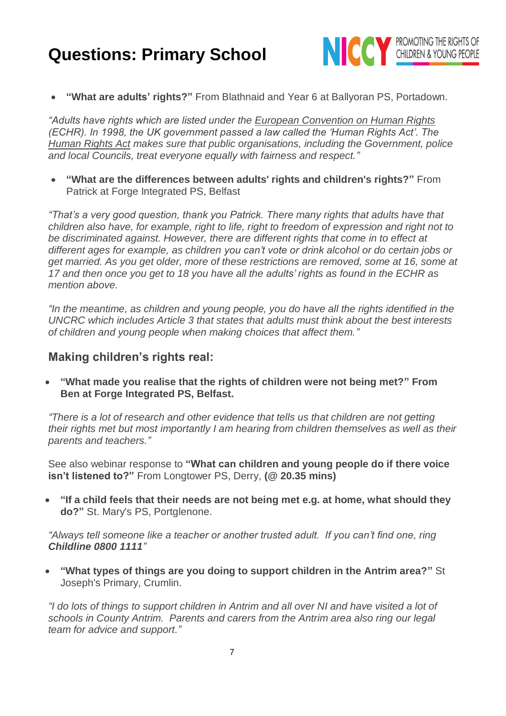

• **"What are adults' rights?"** From Blathnaid and Year 6 at Ballyoran PS, Portadown.

*"Adults have rights which are listed under the [European Convention on Human Rights](https://www.amnesty.org.uk/what-is-the-european-convention-on-human-rights) (ECHR). In 1998, the UK government passed a law called the 'Human Rights Act'. The [Human Rights Act](https://www.equalityhumanrights.com/en/human-rights/human-rights-act) makes sure that public organisations, including the Government, police and local Councils, treat everyone equally with fairness and respect."*

• **"What are the differences between adults' rights and children's rights?"** From Patrick at Forge Integrated PS, Belfast

*"That's a very good question, thank you Patrick. There many rights that adults have that children also have, for example, right to life, right to freedom of expression and right not to be discriminated against. However, there are different rights that come in to effect at different ages for example, as children you can't vote or drink alcohol or do certain jobs or get married. As you get older, more of these restrictions are removed, some at 16, some at 17 and then once you get to 18 you have all the adults' rights as found in the ECHR as mention above.*

*"In the meantime, as children and young people, you do have all the rights identified in the UNCRC which includes Article 3 that states that adults must think about the best interests of children and young people when making choices that affect them."*

#### **Making children's rights real:**

• **"What made you realise that the rights of children were not being met?" From Ben at Forge Integrated PS, Belfast.**

*"There is a lot of research and other evidence that tells us that children are not getting their rights met but most importantly I am hearing from children themselves as well as their parents and teachers."*

See also webinar response to **"What can children and young people do if there voice isn't listened to?"** From Longtower PS, Derry, **(@ 20.35 mins)**

• **"If a child feels that their needs are not being met e.g. at home, what should they do?"** St. Mary's PS, Portglenone.

*"Always tell someone like a teacher or another trusted adult. If you can't find one, ring Childline 0800 1111"*

• **"What types of things are you doing to support children in the Antrim area?"** St Joseph's Primary, Crumlin.

*"I do lots of things to support children in Antrim and all over NI and have visited a lot of schools in County Antrim. Parents and carers from the Antrim area also ring our legal team for advice and support."*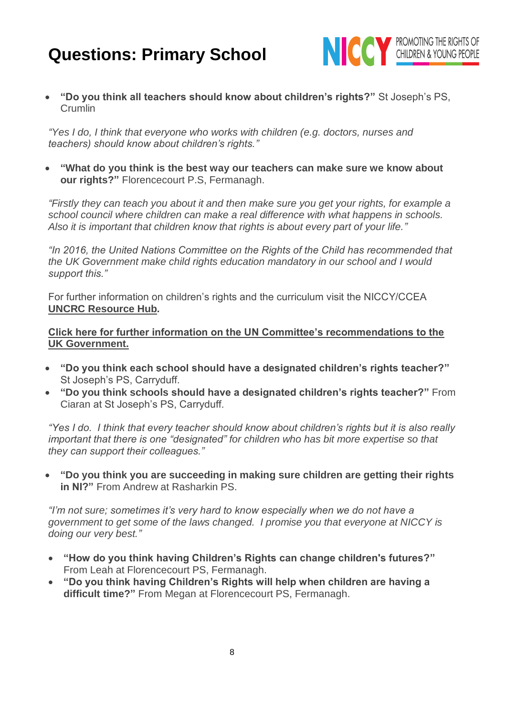

• **"Do you think all teachers should know about children's rights?"** St Joseph's PS, Crumlin

*"Yes I do, I think that everyone who works with children (e.g. doctors, nurses and teachers) should know about children's rights."*

• **"What do you think is the best way our teachers can make sure we know about our rights?"** Florencecourt P.S, Fermanagh.

*"Firstly they can teach you about it and then make sure you get your rights, for example a school council where children can make a real difference with what happens in schools. Also it is important that children know that rights is about every part of your life."*

*"In 2016, the United Nations Committee on the Rights of the Child has recommended that the UK Government make child rights education mandatory in our school and I would support this."* 

For further information on children's rights and the curriculum visit the NICCY/CCEA **[UNCRC Resource Hub](http://ccea.org.uk/uncrcresourcehub)***.*

#### **[Click here for further information on the UN Committee's recommendations to the](https://www.niccy.org/children-and-young-people/your-rights/un-report-on-children-s-rights-in-the-uk/)  [UK Government.](https://www.niccy.org/children-and-young-people/your-rights/un-report-on-children-s-rights-in-the-uk/)**

- **"Do you think each school should have a designated children's rights teacher?"** St Joseph's PS, Carryduff.
- **"Do you think schools should have a designated children's rights teacher?"** From Ciaran at St Joseph's PS, Carryduff.

*"Yes I do. I think that every teacher should know about children's rights but it is also really important that there is one "designated" for children who has bit more expertise so that they can support their colleagues."*

• **"Do you think you are succeeding in making sure children are getting their rights in NI?"** From Andrew at Rasharkin PS.

*"I'm not sure; sometimes it's very hard to know especially when we do not have a government to get some of the laws changed. I promise you that everyone at NICCY is doing our very best."*

- **"How do you think having Children's Rights can change children's futures?"** From Leah at Florencecourt PS, Fermanagh.
- **"Do you think having Children's Rights will help when children are having a difficult time?"** From Megan at Florencecourt PS, Fermanagh.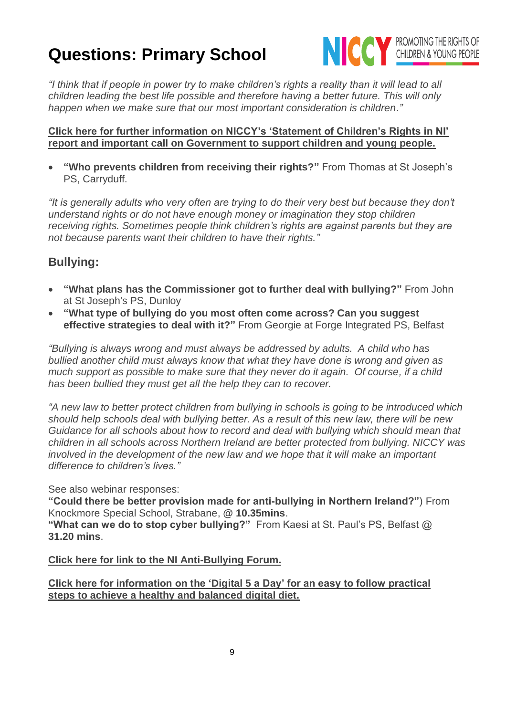

*"I think that if people in power try to make children's rights a reality than it will lead to all children leading the best life possible and therefore having a better future. This will only happen when we make sure that our most important consideration is children."*

#### **[Click here for further information on NICCY's 'Statement of Children's Rights in NI'](https://www.niccy.org/about-us/our-current-work/statement-on-childrens-rights-in-northern-ireland/)  [report and important call on Government to support children and young people.](https://www.niccy.org/about-us/our-current-work/statement-on-childrens-rights-in-northern-ireland/)**

• **"Who prevents children from receiving their rights?"** From Thomas at St Joseph's PS, Carryduff.

*"It is generally adults who very often are trying to do their very best but because they don't understand rights or do not have enough money or imagination they stop children receiving rights. Sometimes people think children's rights are against parents but they are not because parents want their children to have their rights."*

## **Bullying:**

- **"What plans has the Commissioner got to further deal with bullying?"** From John at St Joseph's PS, Dunloy
- **"What type of bullying do you most often come across? Can you suggest effective strategies to deal with it?"** From Georgie at Forge Integrated PS, Belfast

*"Bullying is always wrong and must always be addressed by adults. A child who has bullied another child must always know that what they have done is wrong and given as much support as possible to make sure that they never do it again. Of course, if a child has been bullied they must get all the help they can to recover.* 

*"A new law to better protect children from bullying in schools is going to be introduced which should help schools deal with bullying better. As a result of this new law, there will be new Guidance for all schools about how to record and deal with bullying which should mean that children in all schools across Northern Ireland are better protected from bullying. NICCY was involved in the development of the new law and we hope that it will make an important difference to children's lives."*

#### See also webinar responses:

**"Could there be better provision made for anti-bullying in Northern Ireland?"**) From Knockmore Special School, Strabane, **@ 10.35mins**.

**"What can we do to stop cyber bullying?"** From Kaesi at St. Paul's PS, Belfast @ **31.20 mins**.

#### **[Click here for link to the NI Anti-Bullying Forum.](http://www.endbullying.org.uk/)**

#### **[Click here for information on the 'Digital 5 a Day' for an easy to follow practical](https://www.childrenscommissioner.gov.uk/2017/08/06/digital-5-a-day/)  [steps to achieve a healthy and balanced digital diet.](https://www.childrenscommissioner.gov.uk/2017/08/06/digital-5-a-day/)**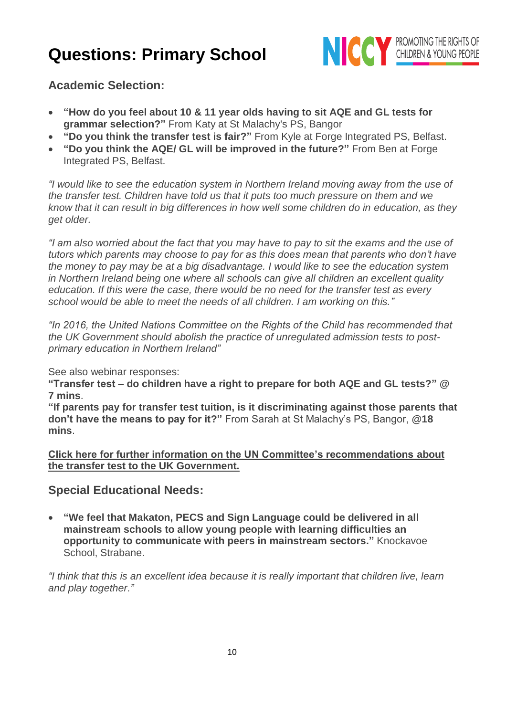

**Academic Selection:**

- **"How do you feel about 10 & 11 year olds having to sit AQE and GL tests for grammar selection?"** From Katy at St Malachy's PS, Bangor
- **"Do you think the transfer test is fair?"** From Kyle at Forge Integrated PS, Belfast.
- **"Do you think the AQE/ GL will be improved in the future?"** From Ben at Forge Integrated PS, Belfast.

*"I would like to see the education system in Northern Ireland moving away from the use of the transfer test. Children have told us that it puts too much pressure on them and we know that it can result in big differences in how well some children do in education, as they get older.* 

*"I am also worried about the fact that you may have to pay to sit the exams and the use of tutors which parents may choose to pay for as this does mean that parents who don't have the money to pay may be at a big disadvantage. I would like to see the education system in Northern Ireland being one where all schools can give all children an excellent quality education. If this were the case, there would be no need for the transfer test as every school would be able to meet the needs of all children. I am working on this."*

*"In 2016, the United Nations Committee on the Rights of the Child has recommended that the UK Government should abolish the practice of unregulated admission tests to postprimary education in Northern Ireland"*

See also webinar responses:

**"Transfer test – do children have a right to prepare for both AQE and GL tests?" @ 7 mins**.

**"If parents pay for transfer test tuition, is it discriminating against those parents that don't have the means to pay for it?"** From Sarah at St Malachy's PS, Bangor, **@18 mins**.

**[Click here for further information on the UN Committee's recommendations about](https://www.niccy.org/children-and-young-people/your-rights/un-report-on-children-s-rights-in-the-uk/)  [the transfer test to the UK Government.](https://www.niccy.org/children-and-young-people/your-rights/un-report-on-children-s-rights-in-the-uk/)**

## **Special Educational Needs:**

• **"We feel that Makaton, PECS and Sign Language could be delivered in all mainstream schools to allow young people with learning difficulties an opportunity to communicate with peers in mainstream sectors."** Knockavoe School, Strabane.

*"I think that this is an excellent idea because it is really important that children live, learn and play together."*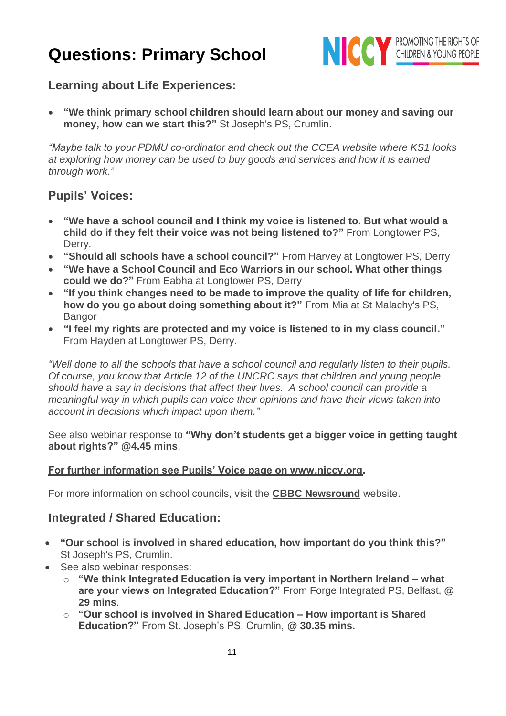

## **Learning about Life Experiences:**

• **"We think primary school children should learn about our money and saving our money, how can we start this?"** St Joseph's PS, Crumlin.

*"Maybe talk to your PDMU co-ordinator and check out the CCEA website where KS1 looks at exploring how money can be used to buy goods and services and how it is earned through work."*

## **Pupils' Voices:**

- **"We have a school council and I think my voice is listened to. But what would a child do if they felt their voice was not being listened to?"** From Longtower PS, Derry.
- **"Should all schools have a school council?"** From Harvey at Longtower PS, Derry
- **"We have a School Council and Eco Warriors in our school. What other things could we do?"** From Eabha at Longtower PS, Derry
- **"If you think changes need to be made to improve the quality of life for children, how do you go about doing something about it?"** From Mia at St Malachy's PS, **Bangor**
- **"I feel my rights are protected and my voice is listened to in my class council."** From Hayden at Longtower PS, Derry.

*"Well done to all the schools that have a school council and regularly listen to their pupils. Of course, you know that Article 12 of the UNCRC says that children and young people should have a say in decisions that affect their lives. A school council can provide a meaningful way in which pupils can voice their opinions and have their views taken into account in decisions which impact upon them."*

See also webinar response to **"Why don't students get a bigger voice in getting taught about rights?" @4.45 mins**.

#### **For further information see Pupils' Voice page on www.niccy.org.**

For more information on school councils, visit the **[CBBC Newsround](http://news.bbc.co.uk/cbbcnews/hi/find_out/guides/uk/school_councils/newsid_3044000/3044197.stm)** website.

## **Integrated / Shared Education:**

- **"Our school is involved in shared education, how important do you think this?"** St Joseph's PS, Crumlin.
- See also webinar responses:
	- o **"We think Integrated Education is very important in Northern Ireland – what are your views on Integrated Education?"** From Forge Integrated PS, Belfast, **@ 29 mins**.
	- o **"Our school is involved in Shared Education – How important is Shared Education?"** From St. Joseph's PS, Crumlin, **@ 30.35 mins.**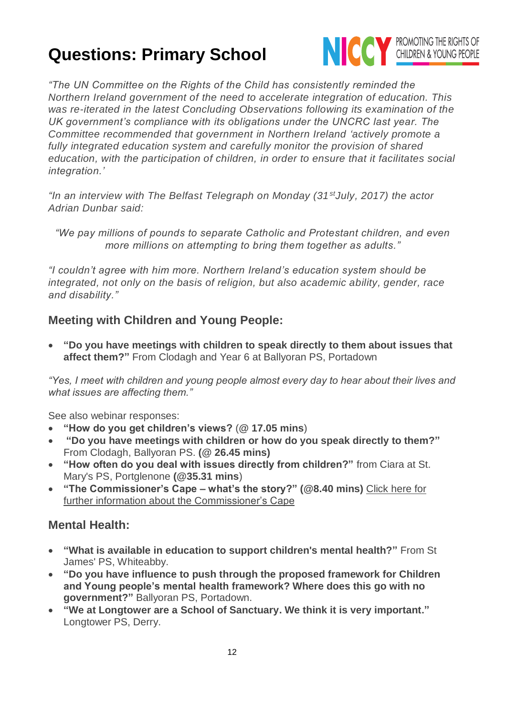

*"The UN Committee on the Rights of the Child has consistently reminded the Northern Ireland government of the need to accelerate integration of education. This was re-iterated in the latest Concluding Observations following its examination of the UK government's compliance with its obligations under the UNCRC last year. The Committee recommended that government in Northern Ireland 'actively promote a*  fully integrated education system and carefully monitor the provision of shared *education, with the participation of children, in order to ensure that it facilitates social integration.'*

*"In an interview with The Belfast Telegraph on Monday (31stJuly, 2017) the actor Adrian Dunbar said:*

*"We pay millions of pounds to separate Catholic and Protestant children, and even more millions on attempting to bring them together as adults."*

*"I couldn't agree with him more. Northern Ireland's education system should be integrated, not only on the basis of religion, but also academic ability, gender, race and disability."*

## **Meeting with Children and Young People:**

• **"Do you have meetings with children to speak directly to them about issues that affect them?"** From Clodagh and Year 6 at Ballyoran PS, Portadown

*"Yes, I meet with children and young people almost every day to hear about their lives and what issues are affecting them."*

See also webinar responses:

- **"How do you get children's views?** (**@ 17.05 mins**)
- **"Do you have meetings with children or how do you speak directly to them?"** From Clodagh, Ballyoran PS. **(@ 26.45 mins)**
- **"How often do you deal with issues directly from children?"** from Ciara at St. Mary's PS, Portglenone **(@35.31 mins**)
- **"The Commissioner's Cape – what's the story?" (@8.40 mins)** [Click here for](https://www.niccy.org/children-and-young-people/get-involved/dear-commish/)  [further information about the Commissioner's Cape](https://www.niccy.org/children-and-young-people/get-involved/dear-commish/)

## **Mental Health:**

- **"What is available in education to support children's mental health?"** From St James' PS, Whiteabby.
- **"Do you have influence to push through the proposed framework for Children and Young people's mental health framework? Where does this go with no government?"** Ballyoran PS, Portadown.
- **"We at Longtower are a School of Sanctuary. We think it is very important."** Longtower PS, Derry.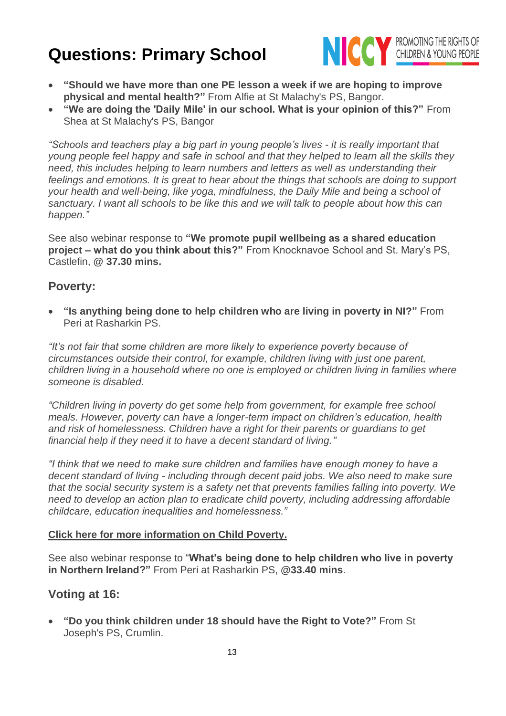

- **"Should we have more than one PE lesson a week if we are hoping to improve physical and mental health?"** From Alfie at St Malachy's PS, Bangor.
- **"We are doing the 'Daily Mile' in our school. What is your opinion of this?"** From Shea at St Malachy's PS, Bangor

*"Schools and teachers play a big part in young people's lives - it is really important that young people feel happy and safe in school and that they helped to learn all the skills they need, this includes helping to learn numbers and letters as well as understanding their feelings and emotions. It is great to hear about the things that schools are doing to support your health and well-being, like yoga, mindfulness, the Daily Mile and being a school of sanctuary. I want all schools to be like this and we will talk to people about how this can happen."*

See also webinar response to **"We promote pupil wellbeing as a shared education project – what do you think about this?"** From Knocknavoe School and St. Mary's PS, Castlefin, **@ 37.30 mins.**

### **Poverty:**

• **"Is anything being done to help children who are living in poverty in NI?"** From Peri at Rasharkin PS.

*"It's not fair that some children are more likely to experience poverty because of circumstances outside their control, for example, children living with just one parent, children living in a household where no one is employed or children living in families where someone is disabled.* 

*"Children living in poverty do get some help from government, for example free school meals. However, poverty can have a longer-term impact on children's education, health and risk of homelessness. Children have a right for their parents or guardians to get financial help if they need it to have a decent standard of living."*

*"I think that we need to make sure children and families have enough money to have a decent standard of living - including through decent paid jobs. We also need to make sure that the social security system is a safety net that prevents families falling into poverty. We need to develop an action plan to eradicate child poverty, including addressing affordable childcare, education inequalities and homelessness."*

#### **[Click here for more information on](https://www.niccy.org/about-us/our-current-work/high-level-corporate-objectives/respecting-the-rights-of-vulnerable-groups-of-children/child-poverty/) Child Poverty.**

See also webinar response to "**What's being done to help children who live in poverty in Northern Ireland?"** From Peri at Rasharkin PS, **@33.40 mins**.

## **Voting at 16:**

• **"Do you think children under 18 should have the Right to Vote?"** From St Joseph's PS, Crumlin.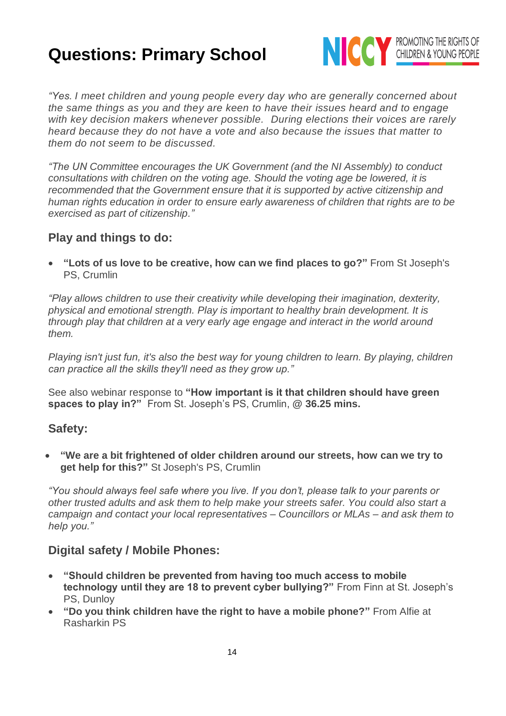

*"Yes. I meet children and young people every day who are generally concerned about the same things as you and they are keen to have their issues heard and to engage with key decision makers whenever possible. During elections their voices are rarely heard because they do not have a vote and also because the issues that matter to them do not seem to be discussed.*

*"The UN Committee encourages the UK Government (and the NI Assembly) to conduct consultations with children on the voting age. Should the voting age be lowered, it is recommended that the Government ensure that it is supported by active citizenship and human rights education in order to ensure early awareness of children that rights are to be exercised as part of citizenship."*

## **Play and things to do:**

• **"Lots of us love to be creative, how can we find places to go?"** From St Joseph's PS, Crumlin

*"Play allows children to use their creativity while developing their imagination, dexterity, physical and emotional strength. Play is important to healthy brain development. It is through play that children at a very early age engage and interact in the world around them.*

*Playing isn't just fun, it's also the best way for young children to learn. By playing, children can practice all the skills they'll need as they grow up."*

See also webinar response to **"How important is it that children should have green spaces to play in?"** From St. Joseph's PS, Crumlin, **@ 36.25 mins.**

## **Safety:**

• **"We are a bit frightened of older children around our streets, how can we try to get help for this?"** St Joseph's PS, Crumlin

*"You should always feel safe where you live. If you don't, please talk to your parents or other trusted adults and ask them to help make your streets safer. You could also start a campaign and contact your local representatives – Councillors or MLAs – and ask them to help you."*

## **Digital safety / Mobile Phones:**

- **"Should children be prevented from having too much access to mobile technology until they are 18 to prevent cyber bullying?"** From Finn at St. Joseph's PS, Dunloy
- **"Do you think children have the right to have a mobile phone?"** From Alfie at Rasharkin PS